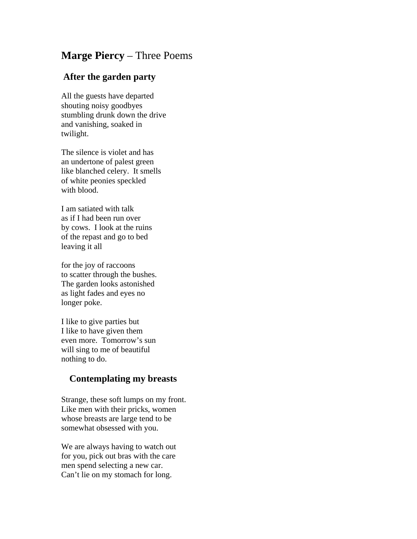## **Marge Piercy** – Three Poems

## **After the garden party**

All the guests have departed shouting noisy goodbyes stumbling drunk down the drive and vanishing, soaked in twilight.

The silence is violet and has an undertone of palest green like blanched celery. It smells of white peonies speckled with blood.

I am satiated with talk as if I had been run over by cows. I look at the ruins of the repast and go to bed leaving it all

for the joy of raccoons to scatter through the bushes. The garden looks astonished as light fades and eyes no longer poke.

I like to give parties but I like to have given them even more. Tomorrow's sun will sing to me of beautiful nothing to do.

## **Contemplating my breasts**

Strange, these soft lumps on my front. Like men with their pricks, women whose breasts are large tend to be somewhat obsessed with you.

We are always having to watch out for you, pick out bras with the care men spend selecting a new car. Can't lie on my stomach for long.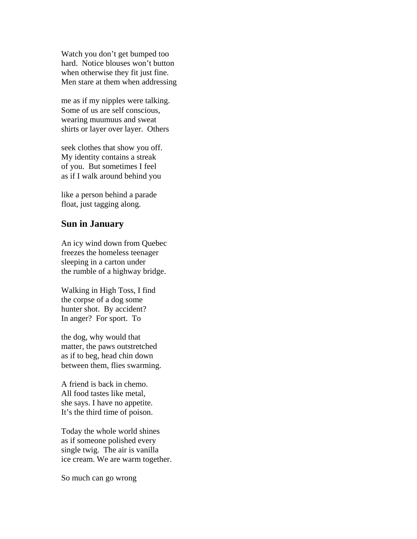Watch you don't get bumped too hard. Notice blouses won't button when otherwise they fit just fine. Men stare at them when addressing

me as if my nipples were talking. Some of us are self conscious, wearing muumuus and sweat shirts or layer over layer. Others

seek clothes that show you off. My identity contains a streak of you. But sometimes I feel as if I walk around behind you

like a person behind a parade float, just tagging along.

## **Sun in January**

An icy wind down from Quebec freezes the homeless teenager sleeping in a carton under the rumble of a highway bridge.

Walking in High Toss, I find the corpse of a dog some hunter shot. By accident? In anger? For sport. To

the dog, why would that matter, the paws outstretched as if to beg, head chin down between them, flies swarming.

A friend is back in chemo. All food tastes like metal, she says. I have no appetite. It's the third time of poison.

Today the whole world shines as if someone polished every single twig. The air is vanilla ice cream. We are warm together.

So much can go wrong